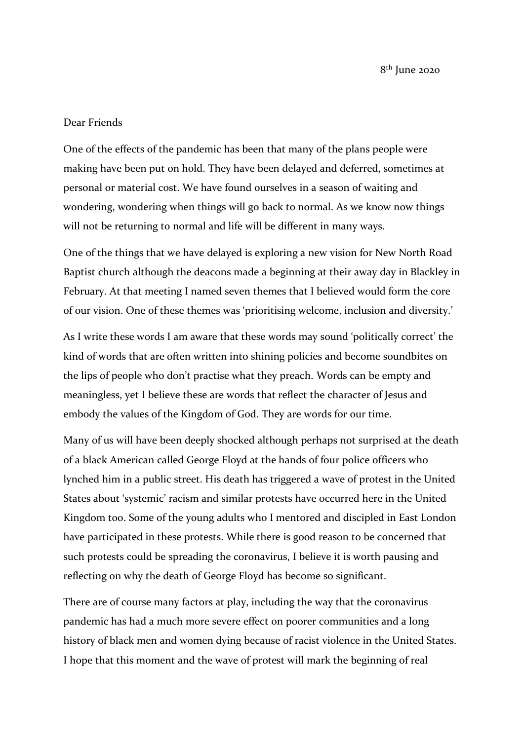8 th June 2020

## Dear Friends

One of the effects of the pandemic has been that many of the plans people were making have been put on hold. They have been delayed and deferred, sometimes at personal or material cost. We have found ourselves in a season of waiting and wondering, wondering when things will go back to normal. As we know now things will not be returning to normal and life will be different in many ways.

One of the things that we have delayed is exploring a new vision for New North Road Baptist church although the deacons made a beginning at their away day in Blackley in February. At that meeting I named seven themes that I believed would form the core of our vision. One of these themes was 'prioritising welcome, inclusion and diversity.'

As I write these words I am aware that these words may sound 'politically correct' the kind of words that are often written into shining policies and become soundbites on the lips of people who don't practise what they preach. Words can be empty and meaningless, yet I believe these are words that reflect the character of Jesus and embody the values of the Kingdom of God. They are words for our time.

Many of us will have been deeply shocked although perhaps not surprised at the death of a black American called George Floyd at the hands of four police officers who lynched him in a public street. His death has triggered a wave of protest in the United States about 'systemic' racism and similar protests have occurred here in the United Kingdom too. Some of the young adults who I mentored and discipled in East London have participated in these protests. While there is good reason to be concerned that such protests could be spreading the coronavirus, I believe it is worth pausing and reflecting on why the death of George Floyd has become so significant.

There are of course many factors at play, including the way that the coronavirus pandemic has had a much more severe effect on poorer communities and a long history of black men and women dying because of racist violence in the United States. I hope that this moment and the wave of protest will mark the beginning of real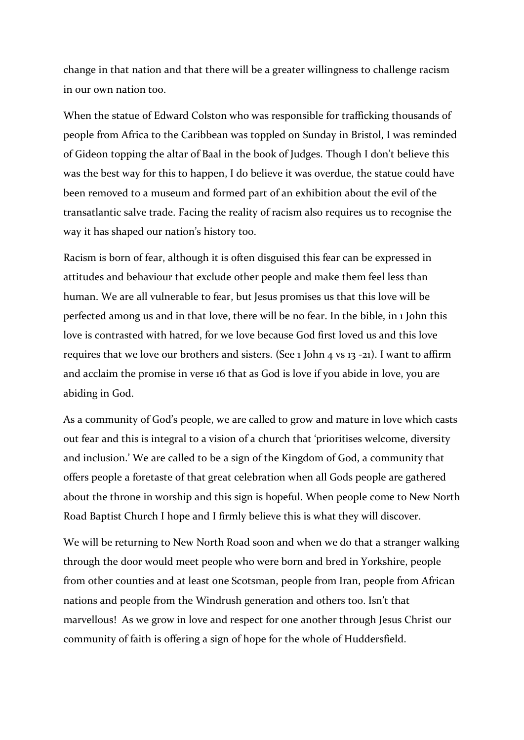change in that nation and that there will be a greater willingness to challenge racism in our own nation too.

When the statue of Edward Colston who was responsible for trafficking thousands of people from Africa to the Caribbean was toppled on Sunday in Bristol, I was reminded of Gideon topping the altar of Baal in the book of Judges. Though I don't believe this was the best way for this to happen, I do believe it was overdue, the statue could have been removed to a museum and formed part of an exhibition about the evil of the transatlantic salve trade. Facing the reality of racism also requires us to recognise the way it has shaped our nation's history too.

Racism is born of fear, although it is often disguised this fear can be expressed in attitudes and behaviour that exclude other people and make them feel less than human. We are all vulnerable to fear, but Jesus promises us that this love will be perfected among us and in that love, there will be no fear. In the bible, in 1 John this love is contrasted with hatred, for we love because God first loved us and this love requires that we love our brothers and sisters. (See 1 John 4 vs 13 -21). I want to affirm and acclaim the promise in verse 16 that as God is love if you abide in love, you are abiding in God.

As a community of God's people, we are called to grow and mature in love which casts out fear and this is integral to a vision of a church that 'prioritises welcome, diversity and inclusion.' We are called to be a sign of the Kingdom of God, a community that offers people a foretaste of that great celebration when all Gods people are gathered about the throne in worship and this sign is hopeful. When people come to New North Road Baptist Church I hope and I firmly believe this is what they will discover.

We will be returning to New North Road soon and when we do that a stranger walking through the door would meet people who were born and bred in Yorkshire, people from other counties and at least one Scotsman, people from Iran, people from African nations and people from the Windrush generation and others too. Isn't that marvellous! As we grow in love and respect for one another through Jesus Christ our community of faith is offering a sign of hope for the whole of Huddersfield.